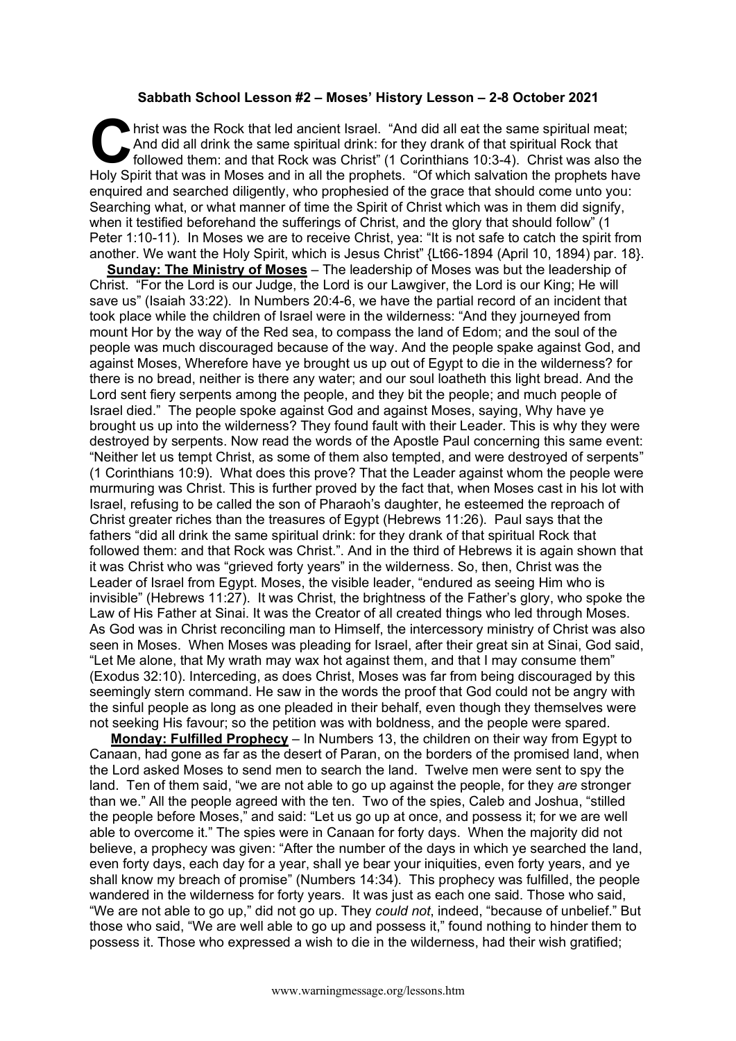## **Sabbath School Lesson #2 – Moses' History Lesson – 2-8 October 2021**

hrist was the Rock that led ancient Israel. "And did all eat the same spiritual meat; And did all drink the same spiritual drink: for they drank of that spiritual Rock that followed them: and that Rock was Christ" (1 Corinthians 10:3-4). Christ was also the hrist was the Rock that led ancient Israel. "And did all eat the same spiritual meat;<br>And did all drink the same spiritual drink: for they drank of that spiritual Rock that<br>followed them: and that Rock was Christ" (1 Corin enquired and searched diligently, who prophesied of the grace that should come unto you: Searching what, or what manner of time the Spirit of Christ which was in them did signify, when it testified beforehand the sufferings of Christ, and the glory that should follow" (1 Peter 1:10-11). In Moses we are to receive Christ, yea: "It is not safe to catch the spirit from another. We want the Holy Spirit, which is Jesus Christ" {Lt66-1894 (April 10, 1894) par. 18}.

**Sunday: The Ministry of Moses** – The leadership of Moses was but the leadership of Christ. "For the Lord is our Judge, the Lord is our Lawgiver, the Lord is our King; He will save us" (Isaiah 33:22). In Numbers 20:4-6, we have the partial record of an incident that took place while the children of Israel were in the wilderness: "And they journeyed from mount Hor by the way of the Red sea, to compass the land of Edom; and the soul of the people was much discouraged because of the way. And the people spake against God, and against Moses, Wherefore have ye brought us up out of Egypt to die in the wilderness? for there is no bread, neither is there any water; and our soul loatheth this light bread. And the Lord sent fiery serpents among the people, and they bit the people; and much people of Israel died." The people spoke against God and against Moses, saying, Why have ye brought us up into the wilderness? They found fault with their Leader. This is why they were destroyed by serpents. Now read the words of the Apostle Paul concerning this same event: "Neither let us tempt Christ, as some of them also tempted, and were destroyed of serpents" (1 Corinthians 10:9). What does this prove? That the Leader against whom the people were murmuring was Christ. This is further proved by the fact that, when Moses cast in his lot with Israel, refusing to be called the son of Pharaoh's daughter, he esteemed the reproach of Christ greater riches than the treasures of Egypt (Hebrews 11:26). Paul says that the fathers "did all drink the same spiritual drink: for they drank of that spiritual Rock that followed them: and that Rock was Christ.". And in the third of Hebrews it is again shown that it was Christ who was "grieved forty years" in the wilderness. So, then, Christ was the Leader of Israel from Egypt. Moses, the visible leader, "endured as seeing Him who is invisible" (Hebrews 11:27). It was Christ, the brightness of the Father's glory, who spoke the Law of His Father at Sinai. It was the Creator of all created things who led through Moses. As God was in Christ reconciling man to Himself, the intercessory ministry of Christ was also seen in Moses. When Moses was pleading for Israel, after their great sin at Sinai, God said, "Let Me alone, that My wrath may wax hot against them, and that I may consume them" (Exodus 32:10). Interceding, as does Christ, Moses was far from being discouraged by this seemingly stern command. He saw in the words the proof that God could not be angry with the sinful people as long as one pleaded in their behalf, even though they themselves were not seeking His favour; so the petition was with boldness, and the people were spared.

**Monday: Fulfilled Prophecy** – In Numbers 13, the children on their way from Egypt to Canaan, had gone as far as the desert of Paran, on the borders of the promised land, when the Lord asked Moses to send men to search the land. Twelve men were sent to spy the land. Ten of them said, "we are not able to go up against the people, for they *are* stronger than we." All the people agreed with the ten. Two of the spies, Caleb and Joshua, "stilled the people before Moses," and said: "Let us go up at once, and possess it; for we are well able to overcome it." The spies were in Canaan for forty days. When the majority did not believe, a prophecy was given: "After the number of the days in which ye searched the land, even forty days, each day for a year, shall ye bear your iniquities, even forty years, and ye shall know my breach of promise" (Numbers 14:34). This prophecy was fulfilled, the people wandered in the wilderness for forty years. It was just as each one said. Those who said, "We are not able to go up," did not go up. They *could not*, indeed, "because of unbelief." But those who said, "We are well able to go up and possess it," found nothing to hinder them to possess it. Those who expressed a wish to die in the wilderness, had their wish gratified;